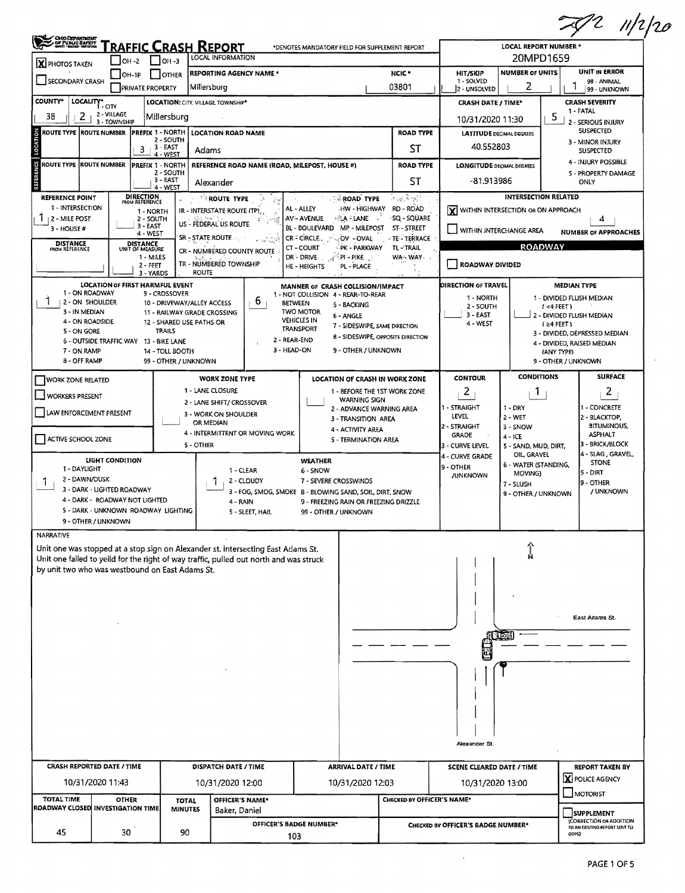| <b>CHOODEPARTMENT</b><br>GY PUBLIC SAFETY<br>MARY HARM HISTORIC | RAFFIC CRASH REPORT                                                   |                                             |                                                                                                       | *DENOTES MANDATORY FIELD FOR SUPPLEMENT REPORT                      |                               |                                    |                                    | LOCAL REPORT NUMBER *               |                                  | $2$ 11/2/20                                                       |  |  |
|-----------------------------------------------------------------|-----------------------------------------------------------------------|---------------------------------------------|-------------------------------------------------------------------------------------------------------|---------------------------------------------------------------------|-------------------------------|------------------------------------|------------------------------------|-------------------------------------|----------------------------------|-------------------------------------------------------------------|--|--|
| X PHOTOS TAKEN                                                  | $\bigcup$ OH -2                                                       | $\vert$ $\vert$ OH -3                       | LOCAL INFORMATION                                                                                     |                                                                     |                               |                                    |                                    | 20MPD1659                           |                                  |                                                                   |  |  |
|                                                                 | $[OH-1P]$                                                             | <b>OTHER</b>                                | <b>REPORTING AGENCY NAME *</b>                                                                        |                                                                     |                               | NCIC *                             | HIT/SKIP                           | <b>NUMBER OF UNITS</b>              |                                  | UNIT IN ERROR                                                     |  |  |
| SECONDARY CRASH                                                 | <b>PRIVATE PROPERTY</b>                                               |                                             | Millersburg                                                                                           |                                                                     |                               | 03801                              | 1 - SOLVED<br>2 - UNSOLVED         | 2                                   |                                  | 98 - ANIMAL<br>99 - UNKNOWN                                       |  |  |
| <b>COUNTY*</b><br>LOCALITY* CITY                                |                                                                       | LOCATION: CITY. VILLAGE TOWNSHIP*           |                                                                                                       |                                                                     |                               |                                    | <b>CRASH DATE / TIME*</b>          |                                     |                                  | <b>CRASH SEVERITY</b>                                             |  |  |
| 2<br>38                                                         | 2 - VILLAGE<br>3 - TOWNSHIP                                           | Millersburg                                 |                                                                                                       |                                                                     |                               |                                    | 10/31/2020 11:30                   |                                     | 5                                | 1 - FATAL<br>2 - SERIOUS INJURY                                   |  |  |
| <b>ROUTE TYPE ROUTE NUMBER</b>                                  | <b>PREFIX 1 - NORTH</b>                                               |                                             | <b>LOCATION ROAD NAME</b>                                                                             |                                                                     |                               | <b>ROAD TYPE</b>                   | <b>LATITUDE DECIMAL DEGREES</b>    |                                     |                                  | <b>SUSPECTED</b>                                                  |  |  |
|                                                                 | 3                                                                     | 2 - SOUTH<br>$-3 - EAST$                    | Adams                                                                                                 |                                                                     |                               | ST                                 | 40.552803                          |                                     |                                  | 3 - MINOR INJURY<br><b>SUSPECTED</b>                              |  |  |
| <b>ROUTE TYPE ROUTE NUMBER</b>                                  | PREFIX 1 - NORTH                                                      | 4 - WEST                                    | REFERENCE ROAD NAME (ROAD, MILEPOST, HOUSE #)                                                         |                                                                     |                               | <b>ROAD TYPE</b>                   | <b>LONGITUDE DECIMAL DEGREES</b>   |                                     |                                  | 4 - INJURY POSSIBLE                                               |  |  |
|                                                                 |                                                                       | 2 - SOUTH<br>$3 - EAST$<br>4 - WEST         | Alexander                                                                                             |                                                                     |                               | ST                                 | -81.913986                         |                                     |                                  | 5 - PROPERTY DAMAGE<br>ONLY                                       |  |  |
| <b>REFERENCE POINT</b>                                          | <b>DIRECTION</b><br>FROM REFERENCE                                    |                                             | ROUTE TYPE                                                                                            | <b>ROAD TYPE</b>                                                    |                               | لاتي جو ڪيون <i>جي س</i>           |                                    | <b>INTERSECTION RELATED</b>         |                                  |                                                                   |  |  |
| 1 - INTERSECTION<br>$112 - MILE POST$                           | 1 - NORTH<br>2 - SOUTH                                                |                                             | IR - INTERSTATE ROUTE (TP)                                                                            | AL - ALLEY<br>AV-AVENUE<br>· ≈∥LA LANE √                            | HW - HIGHWAY                  | <b>RD - ROAD</b><br>-SQ - SQUARE   | WITHIN INTERSECTION OR ON APPROACH |                                     |                                  |                                                                   |  |  |
| $3 - HOUSE#$                                                    | 3 - EAST<br>4 - WEST                                                  |                                             | 小健<br>US - FEDERAL US ROUTE                                                                           | BL - BOULEVARD MP - MILEPOST                                        | ST-STREET                     | WITHIN INTERCHANGE AREA            |                                    |                                     | 4<br><b>NUMBER OF APPROACHES</b> |                                                                   |  |  |
| <b>DISTANCE</b><br>FROM REFERENCE                               | <b>DISTANCE</b><br>UNIT OF MEASURE                                    |                                             | SR - STATE ROUTE<br>$\epsilon = \delta_{\rm up} \epsilon^2 \frac{\partial}{\partial \phi} \epsilon^2$ | $CR = CIRCLE$ , $\sim$<br>OV - OVAL<br>CT - COURT                   | PK - PARKWAY                  | TE - TERRACE<br>TL-TRAIL           |                                    | <b>ROADWAY</b>                      |                                  |                                                                   |  |  |
|                                                                 | 1 - MILES                                                             |                                             | CR - NUMBERED COUNTY ROUTE                                                                            | dr - Drive - ,<br>$\mathcal{A}^{\leq 0}$ PI $\sim$ PIKE             |                               | WA-WAY-                            |                                    |                                     |                                  |                                                                   |  |  |
|                                                                 | $2 - FEET$<br>3 - YARDS                                               | <b>ROUTE</b>                                | TR - NUMBERED TOWNSHIP                                                                                | HE - HEIGHTS<br>PL - PLACE                                          |                               |                                    | <b>ROADWAY DIVIDED</b>             |                                     |                                  |                                                                   |  |  |
|                                                                 | <b>LOCATION OF FIRST HARMFUL EVENT</b>                                |                                             |                                                                                                       | MANNER OF CRASH COLLISION/IMPACT                                    |                               |                                    | DIRECTION OF TRAVEL                |                                     |                                  | <b>MEDIAN TYPE</b>                                                |  |  |
| 1 - ON ROADWAY<br>Ŧ<br>2 - ON 5HOULDER                          |                                                                       | 9 - CROSSOVER<br>10 - DRIVEWAY/ALLEY ACCESS | 6                                                                                                     | 1 - NOT COLLISION 4 - REAR-TO-REAR<br><b>BETWEEN</b><br>5 - BACKING |                               |                                    | 1 - NORTH                          |                                     |                                  | 1 - DIVIDED FLUSH MEDIAN                                          |  |  |
| 3 - IN MEDIAN                                                   |                                                                       | 11 - RAILWAY GRADE CROSSING                 | TWO MOTOR                                                                                             | 6 - ANGLE                                                           |                               | 2 - SOUTH<br>3 - EAST              |                                    | $1 < 4$ FEET)                       | i 2 - Divided Flush Median       |                                                                   |  |  |
| 4 - ON ROADSIDE<br>5 - ON GORE                                  |                                                                       | 12 - SHARED USE PATHS OR<br><b>TRAILS</b>   |                                                                                                       | <b>VEHICLES IN</b><br><b>TRANSPORT</b>                              | 7 - SIDESWIPE, SAME DIRECTION |                                    | 4 - WEST                           |                                     | (24 FEET)                        |                                                                   |  |  |
|                                                                 | 6 - OUTSIDE TRAFFIC WAY 13 - BIKE LANE                                |                                             |                                                                                                       | 2 - REAR-END                                                        |                               | 8 - SIDESWIPE, OPPOSITE DIRECTION  |                                    |                                     |                                  | 3 - DIVIDED, DEPRESSED MEDIAN<br>4 - DIVIDED, RAISED MEDIAN       |  |  |
| 7 - ON RAMP                                                     |                                                                       | 14 - TOLL BOOTH                             |                                                                                                       | 3 - HEAD-ON                                                         | 9 - OTHER / UNKNOWN           |                                    |                                    |                                     | (ANY TYPE)                       |                                                                   |  |  |
| 8 - OFF RAMP                                                    |                                                                       | 99 - OTHER / UNKNOWN                        |                                                                                                       |                                                                     |                               |                                    |                                    |                                     |                                  | 9 - OTHER / UNKNOWN                                               |  |  |
| <b>WORK ZONE RELATED</b>                                        |                                                                       |                                             | <b>WORK ZONE TYPE</b>                                                                                 | LOCATION OF CRASH IN WORK ZONE                                      |                               |                                    | <b>CONTOUR</b>                     | <b>CONDITIONS</b>                   |                                  | <b>SURFACE</b>                                                    |  |  |
| <b>WORKER5 PRESENT</b>                                          |                                                                       |                                             | 1 - LANE CLOSURE<br>2 - LANE SHIFT/ CROSSOVER                                                         |                                                                     | WARNING SIGN                  | 1 - BEFORE THE 1ST WORK ZONE       | 2                                  | 1.                                  |                                  | $\overline{2}$                                                    |  |  |
| LAW ENFORCEMENT PRESENT                                         |                                                                       |                                             | 3 - WORK ON SHOULDER                                                                                  | 2 - ADVANCE WARNING AREA                                            |                               | 1 - STRAIGHT                       | $1 - DRY$                          |                                     | 1 - CONCRETE                     |                                                                   |  |  |
|                                                                 |                                                                       |                                             | OR MEDIAN                                                                                             |                                                                     | 3 - TRANSITION AREA           |                                    | LEVEL<br>2 - STRAIGHT              | 2 - WET<br>3 - SNOW                 |                                  | 2 - BLACKTOP,<br><b>BITUMINOUS,</b>                               |  |  |
| ACTIVE SCHOOL ZONE                                              |                                                                       |                                             | 4 - INTERMITTENT OR MOVING WORK                                                                       | 4 - ACTIVITY AREA                                                   | 5 - TERMINATION AREA          |                                    | GRADE                              | $4 - ICE$                           |                                  | <b>ASPHALT</b>                                                    |  |  |
|                                                                 |                                                                       | 5 - OTHER                                   |                                                                                                       |                                                                     |                               |                                    | 3 - CURVE LEVEL<br>4 - CURVE GRADE | 5 - SAND, MUD, DIRT,<br>OIL, GRAVEL |                                  | 3 - BRICK/BLOCK<br>4 - SLAG, GRAVEL,                              |  |  |
| 1 - DAYLIGHT                                                    | LIGHT CONDITION                                                       |                                             | 1 - CLEAR                                                                                             | <b>WEATHER</b><br>6 - SNOW                                          |                               |                                    | 9 - OTHER                          | 6 - WATER (STANDING,                |                                  | <b>STONE</b>                                                      |  |  |
| 2 - DAWN/DUSK<br>Т.                                             |                                                                       |                                             | 2 - CLOUDY                                                                                            | 7 - SEVERE CROSSWINDS                                               |                               |                                    | <b>/UNKNOWN</b>                    | MOVING)<br>7 - SLUSH                |                                  | 5 - DIRT<br>9 - OTHER                                             |  |  |
|                                                                 | 3 - DARK - LIGHTED ROADWAY                                            |                                             |                                                                                                       | 3 - FOG, SMOG, SMOKE B - BLOWING SAND, SOIL, DIRT, SNOW             |                               |                                    | 9 - OTHER / UNKNOWN                |                                     |                                  | / UNKNOWN                                                         |  |  |
|                                                                 | 4 - DARK - ROADWAY NOT LIGHTED<br>5 - DARK - UNKNOWN ROADWAY LIGHTING |                                             | 4 - RAIN<br>5 - SLEET, HAIL                                                                           | 9 - FREEZING RAIN OR FREEZING DRIZZLE<br>99 - OTHER / UNKNOWN       |                               |                                    |                                    |                                     |                                  |                                                                   |  |  |
| 9 - OTHER / UNKNOWN                                             |                                                                       |                                             |                                                                                                       |                                                                     |                               |                                    |                                    |                                     |                                  |                                                                   |  |  |
| NARRATIVE                                                       |                                                                       |                                             |                                                                                                       |                                                                     |                               |                                    |                                    |                                     |                                  |                                                                   |  |  |
|                                                                 |                                                                       |                                             | Unit one was stopped at a stop sign on Alexander st. intersecting East Adams St.                      |                                                                     |                               |                                    |                                    |                                     |                                  |                                                                   |  |  |
| by unit two who was westbound on East Adams St.                 |                                                                       |                                             | Unit one failed to yeild for the right of way traffic, pulled out north and was struck                |                                                                     |                               |                                    |                                    |                                     |                                  |                                                                   |  |  |
|                                                                 |                                                                       |                                             |                                                                                                       |                                                                     |                               |                                    |                                    |                                     |                                  |                                                                   |  |  |
|                                                                 |                                                                       |                                             |                                                                                                       |                                                                     |                               |                                    |                                    |                                     |                                  |                                                                   |  |  |
|                                                                 |                                                                       |                                             |                                                                                                       |                                                                     |                               |                                    |                                    |                                     |                                  |                                                                   |  |  |
|                                                                 |                                                                       |                                             |                                                                                                       |                                                                     |                               |                                    |                                    |                                     |                                  | East Adams St.                                                    |  |  |
|                                                                 |                                                                       |                                             |                                                                                                       |                                                                     |                               |                                    |                                    |                                     |                                  |                                                                   |  |  |
|                                                                 |                                                                       |                                             |                                                                                                       |                                                                     |                               |                                    |                                    |                                     |                                  |                                                                   |  |  |
|                                                                 |                                                                       |                                             |                                                                                                       |                                                                     |                               |                                    |                                    |                                     |                                  |                                                                   |  |  |
|                                                                 |                                                                       |                                             |                                                                                                       |                                                                     |                               |                                    |                                    |                                     |                                  |                                                                   |  |  |
|                                                                 |                                                                       |                                             |                                                                                                       |                                                                     |                               |                                    |                                    |                                     |                                  |                                                                   |  |  |
|                                                                 |                                                                       |                                             |                                                                                                       |                                                                     |                               |                                    |                                    |                                     |                                  |                                                                   |  |  |
|                                                                 |                                                                       |                                             |                                                                                                       |                                                                     |                               |                                    |                                    |                                     |                                  |                                                                   |  |  |
|                                                                 |                                                                       |                                             |                                                                                                       |                                                                     |                               |                                    |                                    |                                     |                                  |                                                                   |  |  |
|                                                                 |                                                                       |                                             |                                                                                                       |                                                                     |                               |                                    | Alexander St.                      |                                     |                                  |                                                                   |  |  |
| <b>CRASH REPORTED DATE / TIME</b>                               |                                                                       |                                             | DISPATCH DATE / TIME                                                                                  |                                                                     | <b>ARRIVAL DATE / TIME</b>    |                                    | <b>SCENE CLEARED DATE / TIME</b>   |                                     |                                  | <b>REPORT TAKEN BY</b>                                            |  |  |
| 10/31/2020 11:43                                                |                                                                       |                                             | 10/31/2020 12:00                                                                                      |                                                                     | 10/31/2020 12:03              |                                    | 10/31/2020 13:00                   |                                     | X POLICE AGENCY                  |                                                                   |  |  |
| <b>TOTAL TIME</b>                                               | <b>OTHER</b>                                                          | <b>TOTAL</b>                                | OFFICER'S NAME*                                                                                       |                                                                     |                               | CHECKED BY OFFICER'S NAME*         |                                    |                                     |                                  | MOTORIST                                                          |  |  |
|                                                                 |                                                                       | <b>MINUTES</b>                              | Baker, Daniel                                                                                         |                                                                     |                               |                                    |                                    | <b>SUPPLEMENT</b>                   |                                  |                                                                   |  |  |
| ROADWAY CLOSED INVESTIGATION TIME                               |                                                                       |                                             |                                                                                                       |                                                                     |                               | CHECKED BY OFFICER'S BADGE NUMBER* |                                    |                                     |                                  | (CORRECTION OR ADDITION<br>TO AN EXISTING REPORT SENT TO<br>ODPS) |  |  |
| 45                                                              | 30                                                                    | 90                                          |                                                                                                       | OFFICER'S BADGE NUMBER*<br>103                                      |                               |                                    |                                    |                                     |                                  |                                                                   |  |  |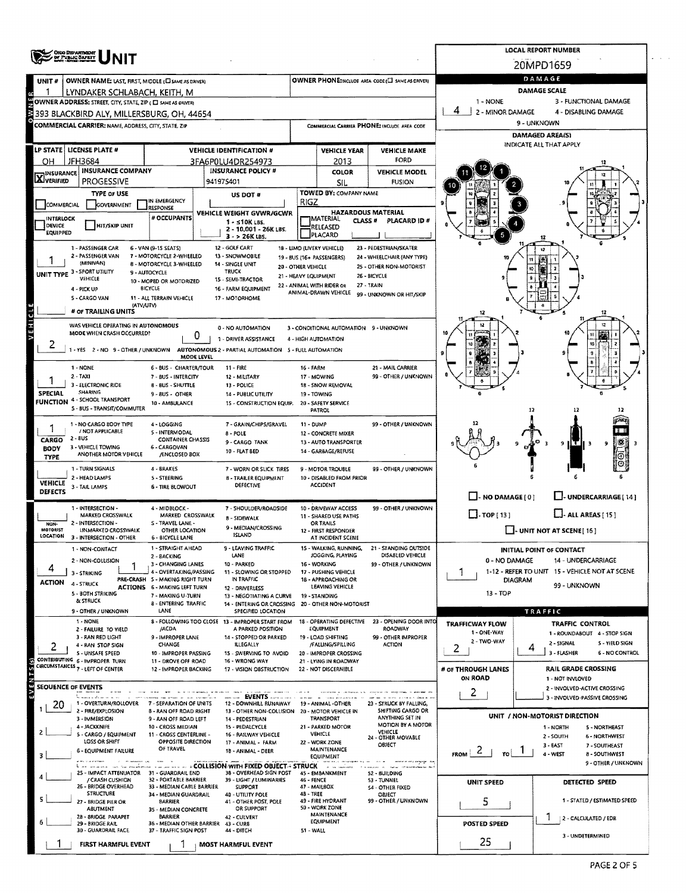| <b>OHIO DEPARTMENT</b>                                                                     |                                                           |                                                                                                        | <b>LOCAL REPORT NUMBER</b> |                                                                     |                                                                        |                                                                                  |                                                               |  |  |  |  |
|--------------------------------------------------------------------------------------------|-----------------------------------------------------------|--------------------------------------------------------------------------------------------------------|----------------------------|---------------------------------------------------------------------|------------------------------------------------------------------------|----------------------------------------------------------------------------------|---------------------------------------------------------------|--|--|--|--|
| OF PUBLIC SAFETY                                                                           |                                                           |                                                                                                        | 20MPD1659                  |                                                                     |                                                                        |                                                                                  |                                                               |  |  |  |  |
| OWNER NAME: LAST, FIRST, MIDDLE (C) SAME AS DRIVER)<br>UNIT #                              |                                                           |                                                                                                        |                            |                                                                     | OWNER PHONE: INCLUDE AREA CODE (L) SAME AS DRIVER)                     |                                                                                  | DAMAGE                                                        |  |  |  |  |
| LYNDAKER SCHLABACH, KEITH, M<br>OWNER ADDRESS: STREET, CITY, STATE, ZIP ( C SAME AS ORNER) |                                                           |                                                                                                        |                            |                                                                     |                                                                        | 1 - NONE                                                                         | <b>DAMAGE SCALE</b><br>3 - FUNCTIONAL DAMAGE                  |  |  |  |  |
| 393 BLACKBIRD ALY, MILLERSBURG, OH, 44654                                                  |                                                           |                                                                                                        |                            |                                                                     |                                                                        | 4<br>2 - MINOR DAMAGE<br>4 - DISABLING DAMAGE                                    |                                                               |  |  |  |  |
| COMMERCIAL CARRIER: NAME, ADDRESS, CITY, STATE, ZIP                                        |                                                           |                                                                                                        |                            |                                                                     | COMMERCIAL CARRIER PHONE: INCLUDE AREA CODE                            | 9 - UNKNOWN                                                                      |                                                               |  |  |  |  |
|                                                                                            |                                                           |                                                                                                        |                            |                                                                     |                                                                        |                                                                                  | <b>DAMAGED AREA(S)</b><br>INDICATE ALL THAT APPLY             |  |  |  |  |
| LP STATE   LICENSE PLATE #<br>JFH3684<br>он                                                |                                                           | <b>VEHICLE IDENTIFICATION #</b><br>3FA6P0LU4DR254973                                                   |                            | <b>VEHICLE YEAR</b><br>2013                                         | <b>VEHICLE MAKE</b><br>FORD                                            |                                                                                  |                                                               |  |  |  |  |
| <b>INSURANCE COMPANY</b><br><b>X</b> INSURANCE                                             |                                                           | <b>INSURANCE POLICY #</b>                                                                              |                            | <b>COLOR</b>                                                        | <b>VEHICLE MODEL</b>                                                   |                                                                                  |                                                               |  |  |  |  |
| <b>PROGESSIVE</b>                                                                          |                                                           | 941975401                                                                                              |                            | <b>SIL</b><br>TOWED BY: COMPANY NAME                                | <b>FUSION</b>                                                          |                                                                                  |                                                               |  |  |  |  |
| <b>TYPE OF USE</b><br><b>COMMERCIAL</b><br><b>GOVERNMENT</b>                               | IN EMERGENCY<br><b>RESPONSE</b>                           | US DOT #                                                                                               | RIGZ                       |                                                                     |                                                                        |                                                                                  |                                                               |  |  |  |  |
| <b>INTERLOCK</b>                                                                           | # OCCUPANTS                                               | VEHICLE WEIGHT GVWR/GCWR<br>1 - s10K LBS.                                                              |                            | <b>HAZARDOUS MATERIAL</b><br><b>IMATERIAL</b><br>CLASS <sup>#</sup> | PLACARD ID #                                                           |                                                                                  |                                                               |  |  |  |  |
| DEVICE<br><b>HIT/SKIP UNIT</b><br><b>EQUIPPED</b>                                          |                                                           | 2 - 10.001 - 26K LBS.<br>$3 - 26K$ LBS.                                                                |                            | <b>RELEASED</b><br>PLACARD                                          |                                                                        |                                                                                  |                                                               |  |  |  |  |
| 1 - PASSENGER CAR                                                                          | 6 - VAN (9-15 SEATS)                                      | 12 - GOLF CART                                                                                         |                            | 18 - LIMO (LIVERY VEHICLE)                                          | 23 - PEDESTRIAN/SKATER                                                 |                                                                                  |                                                               |  |  |  |  |
| 2 - PASSENGER VAN<br>(MINIVAN)                                                             | 7 - MOTORCYCLE 2-WHEELED<br>8 - MOTORCYCLE 3-WHEELED      | 13 - SNOWMOBILE<br>14 - SINGLE UNIT                                                                    | 20 - OTHER VEHICLE         | 19 - BUS (16+ PASSENGERS)                                           | 24 - WHEELCHAIR (ANY TYPE)<br>25 - OTHER NON-MOTORIST                  |                                                                                  |                                                               |  |  |  |  |
| UNIT TYPE 3 - SPORT UTILITY<br>VEHICLE                                                     | 9 - AUTOCYCLE<br>10 - MOPED OR MOTORIZED                  | <b>TRUCK</b><br>15 - SEMI-TRACTOR                                                                      | 21 - HEAVY EQUIPMENT       |                                                                     | 26 - BICYCLE                                                           |                                                                                  |                                                               |  |  |  |  |
| 4 - PICK UP<br>5 - CARGO VAN                                                               | BICYCLE<br>11 - ALL TERRAIN VEHICLE                       | 16 - FARM EQUIPMENT<br>17 - MOTORHOME                                                                  |                            | 22 - ANIMAL WITH RIDER OR<br>ANIMAL-DRAWN VEHICLE                   | 27 - TRAIN<br>99 - UNKNOWN OR HIT/SKIP                                 |                                                                                  |                                                               |  |  |  |  |
| # OF TRAILING UNITS                                                                        | (ATV/UTV)                                                 |                                                                                                        |                            |                                                                     |                                                                        | 12                                                                               |                                                               |  |  |  |  |
| WAS VEHICLE OPERATING IN AUTONOMOUS                                                        |                                                           | 0 - NO AUTOMATION                                                                                      |                            | 3 - CONDITIONAL AUTOMATION 9 - UNKNOWN                              |                                                                        |                                                                                  |                                                               |  |  |  |  |
| MODE WHEN CRASH OCCURRED?<br>2                                                             |                                                           | 0<br>1 - DRIVER ASSISTANCE                                                                             |                            | 4 - HIGH AUTOMATION                                                 |                                                                        |                                                                                  | 10                                                            |  |  |  |  |
|                                                                                            |                                                           | 1 - YES 2 - NO 9 - OTHER / UNKNOWN AUTONOMOUS 2 - PARTIAL AUTOMATION 5 - FULL AUTOMATION<br>MODE LEVEL |                            |                                                                     |                                                                        |                                                                                  |                                                               |  |  |  |  |
| 1 - NONE                                                                                   | 6 - BUS - CHARTER/TOUR                                    | <b>11 - FIRE</b>                                                                                       | <b>16 - FARM</b>           |                                                                     | 21 - MAIL CARRIER                                                      |                                                                                  |                                                               |  |  |  |  |
| $2 - TAX$<br>3 - ELECTRONIC RIDE                                                           | 7 - BUS - INTERCITY<br>8 - BUS - SHUTTLE                  | 12 - MILITARY<br>13 - POLICE                                                                           |                            | 17 - MOWING<br>18 - SNOW REMOVAL                                    | 99 - OTHER / UNKNOWN                                                   |                                                                                  |                                                               |  |  |  |  |
| <b>SHARING</b><br><b>SPECIAL</b><br><b>FUNCTION 4 - SCHOOL TRANSPORT</b>                   | 9 - 8US - OTHER<br>10 - AMBULANCE                         | 14 - PUBLIC UTILITY<br>15 - CONSTRUCTION EQUIP.                                                        | 19 - TOWING                | 20 - SAFETY SERVICE                                                 |                                                                        |                                                                                  |                                                               |  |  |  |  |
| 5 - BUS - TRANSIT/COMMUTER                                                                 |                                                           |                                                                                                        |                            | <b>PATROL</b>                                                       |                                                                        |                                                                                  | 12<br>12                                                      |  |  |  |  |
| 1 - NO CARGO BODY TYPE<br>1<br>/ NOT APPLICABLE                                            | 4 - LOGGING<br>5 - INTERMODAL                             | 7 - GRAIN/CHIPS/GRAVEL<br>$8 - POLE$                                                                   | 11 - DUMP                  | 12 - CONCRETE MIXER                                                 | 99 - OTHER / UNKNOWN                                                   |                                                                                  |                                                               |  |  |  |  |
| $2 - BUS$<br>CARGO<br>3 - VEHICLE TOWING                                                   | <b>CONTAINER CHASSIS</b><br>6 - CARGOVAN                  | 9 - CARGO TANK                                                                                         |                            | 13 - AUTO TRANSPORTER                                               |                                                                        |                                                                                  | 9                                                             |  |  |  |  |
| <b>BODY</b><br>ANOTHER MOTOR VEHICLE<br><b>TYPE</b>                                        | /ENCLOSED BOX                                             | 10 - FLAT BED                                                                                          |                            | 14 - GARBAGE/REFUSE                                                 |                                                                        |                                                                                  |                                                               |  |  |  |  |
| 1 - TURN SIGNALS<br>2 - HEAD LAMPS                                                         | 4 - BRAKES<br><b>S-STEERING</b>                           | 7 - WORN OR SLICK TIRES<br>8 - TRAILER EQUIPMENT                                                       |                            | 9 - MOTOR TROUBLE<br>10 - DISABLED FROM PRIOR                       | 99 - OTHER / UNKNOWN                                                   |                                                                                  |                                                               |  |  |  |  |
| <b>VEHICLE</b><br>3 - TAIL LAMPS<br><b>DEFECTS</b>                                         | <b>6 - TIRE BLOWOUT</b>                                   | DEFECTIVE                                                                                              |                            | <b>ACCIDENT</b>                                                     |                                                                        |                                                                                  |                                                               |  |  |  |  |
| 1 - INTERSECTION -                                                                         | 4 - MIDBLOCK -                                            | 7 - SHOULDER/ROADSIDE                                                                                  |                            | 10 - DRIVEWAY ACCESS                                                | 99 - OTHER / UNKNOWN                                                   | $\Box$ - NO DAMAGE [ 0 ]                                                         | LI-UNDERCARRIAGE [14]                                         |  |  |  |  |
| <b>MARKED CROSSWALK</b><br>2 - INTERSECTION -<br>NON-                                      | MARKED CROSSWALK<br>S - TRAVEL LANE -                     | 8 - SIDEWALK                                                                                           |                            | 11 - SHARED USE PATHS<br>OR TRAILS                                  |                                                                        | $\Box$ TOP[13]<br>$\Box$ - ALL AREAS [ 15 ]                                      |                                                               |  |  |  |  |
| MOTORIST<br><b>UNMARKED CROSSWALK</b><br>LOCATION<br>3 - INTERSECTION - OTHER              | OTHER LOCATION<br>6 - BICYCLE LANE                        | 9 - MEDIAN/CROSSING<br><b>ISLAND</b>                                                                   |                            | 12 - FIRST RESPONDER<br>AT INCIDENT SCENE                           |                                                                        | I - UNIT NOT AT SCENE [ 16 ]                                                     |                                                               |  |  |  |  |
| 1 - NON-CONTACT                                                                            | 1 - STRAIGHT AHEAD                                        | 9 - LEAVING TRAFFIC                                                                                    |                            | 15 - WALKING, RUNNING,                                              | - STANDING OUTSIDE                                                     | <b>INITIAL POINT OF CONTACT</b>                                                  |                                                               |  |  |  |  |
| 2 - NON-COLLISION<br>4                                                                     | 2 - BACKING<br>3 - CHANGING LANES                         | LANE<br>10 - PARKED                                                                                    |                            | JOGGING, PLAYING<br>16 - WORKING                                    | DISABLED VEHICLE<br>99 - OTHER / UNKNOWN                               | 0 - NO DAMAGE                                                                    | 14 - UNDERCARRIAGE                                            |  |  |  |  |
| 3 - STRIKING<br><b>ACTION</b><br>4 - STRUCK                                                | 4 - OVERTAKING/PASSING<br>PRE-CRASH 5 - MAKING RIGHT TURN | 11 - SLOWING OR STOPPED<br>IN TRAFFIC                                                                  |                            | 17 - PUSHING VEHICLE<br>18 - APPROACHING OR                         |                                                                        | 1-12 - REFER TO UNIT 15 - VEHICLE NOT AT SCENE<br><b>DIAGRAM</b><br>99 - UNKNOWN |                                                               |  |  |  |  |
| 5 - BOTH STRIKING                                                                          | <b>ACTIONS 6 - MAKING LEFT TURN</b><br>7 - MAKING U-TURN  | 12 - DRIVERLESS<br>13 - NEGOTIATING A CURVE                                                            |                            | LEAVING VEHICLE<br>19 - STANDING                                    |                                                                        | $13 - TOP$                                                                       |                                                               |  |  |  |  |
| & STRUCK<br>9 - OTHER / UNKNOWN                                                            | <b>8 - ENTERING TRAFFIC</b><br>LANE                       | 14 - ENTERING OR CROSSING<br>SPECIFIED LOCATION                                                        |                            | 20 - OTHER NON-MOTORIST                                             |                                                                        |                                                                                  | TRAFFIC                                                       |  |  |  |  |
| 1 - NONE                                                                                   |                                                           | 8 - FOLLOWING TOO CLOSE 13 - IMPROPER START FROM                                                       |                            | 18 - OPERATING DEFECTIVE                                            | 23 - OPENING DOOR INTO                                                 | <b>TRAFFICWAY FLOW</b>                                                           | TRAFFIC CONTROL                                               |  |  |  |  |
| 2 - FAILURE TO VIELD<br>3 - RAN RED LIGHT                                                  | /ACDA<br>9 - IMPROPER LANE                                | A PARKED POSITION<br>14 - STOPPED OR PARKED                                                            |                            | EQUIPMENT<br>19 - LOAD SHIFTING                                     | <b>ROADWAY</b><br>99 - OTHER IMPROPER                                  | 1 - ONE-WAY<br>2 - TWO-WAY                                                       | 1 - ROUNDABOUT 4 - STOP SIGN<br>5 - YIELD SIGN                |  |  |  |  |
| 4 - RAN STOP SIGN<br>2<br>5 - UNSAFE SPEED                                                 | CHANGE<br>10 - IMPROPER PASSING                           | ILLEGALLY<br>15 - SWERVING TO AVOID                                                                    |                            | /FALLING/SPILLING<br>20 - IMPROPER CROSSING                         | <b>ACTION</b>                                                          | 2                                                                                | 2 - SIGNAL<br>4<br>3 - FLASHER<br><b>6 - NO CONTROL</b>       |  |  |  |  |
| CONTRIBUTING 6 - IMPROPER TURN<br>CIRCUMSTANCES 7 - LEFT OF CENTER                         | 11 - DROVE OFF ROAD<br>12 - IMPROPER BACKING              | 16 - WRONG WAY<br>17 - VISION OBSTRUCTION                                                              |                            | 21 - LYING IN ROADWAY<br>22 - NOT DISCERNIBLE                       |                                                                        | # OF THROUGH LANES                                                               | RAIL GRADE CROSSING                                           |  |  |  |  |
| <b>SEQUENCE OF EVENTS</b>                                                                  |                                                           |                                                                                                        |                            |                                                                     |                                                                        | <b>ON ROAD</b>                                                                   | 1 - NOT INVLOVED                                              |  |  |  |  |
| e<br>Provincia a Ant                                                                       |                                                           | ------- <b>EVENTS</b> ---------                                                                        |                            |                                                                     |                                                                        | 2                                                                                | 2 - INVOLVED-ACTIVE CROSSING<br>3 - INVOLVED-PASSIVE CROSSING |  |  |  |  |
| 1 - OVERTURN/ROLLOVER<br>20<br>1<br>2 - FIRE/EXPLOSION                                     | 7 - SEPARATION OF UNITS<br><b>8 - RAN OFF ROAD RIGHT</b>  | 12 - DOWNHILL RUNAWAY<br>13 - OTHER NON-COLLISION 20 - MOTOR VEHICLE IN                                |                            | 19 - ANIMAL -OTHER                                                  | 23 - STRUCK BY FALLING,<br><b>SHIFTING CARGO OR</b><br>ANYTHING SET IN |                                                                                  | UNIT / NON-MOTORIST DIRECTION                                 |  |  |  |  |
| 3 - IMMERSION<br>4 - JACKKNIFE<br>S.                                                       | 9 - RAN OFF ROAD LEFT<br>10 - CROSS MEDIAN                | 14 - PEDESTRIAN<br>15 - PEDALCYCLE                                                                     |                            | TRANSPORT<br>21 - PARKED MOTOR                                      | MOTION BY A MOTOR<br>VEHICLE                                           |                                                                                  | 1 - NORTH<br>5 - NORTHEAST                                    |  |  |  |  |
| 5 - CARGO / EQUIPMENT<br>LOSS OR SHIFT                                                     | 11 - CROSS CENTERLINE -<br>OPPOSITE DIRECTION             | 16 - RAILWAY VEHICLE<br>17 - ANIMAL - FARM                                                             |                            | VEHICLE<br>22 - WORK ZONE                                           | 24 - OTHER MOVABLE<br>OBJECT                                           |                                                                                  | 2 - SOUTH<br>6 - NORTHWEST<br>$3 - EAST$<br>7 - SOUTHEAST     |  |  |  |  |
| <b>6 - EQUIPMENT FAILURE</b><br>3                                                          | OF TRAVEL                                                 | 18 - ANIMAL - DEER                                                                                     |                            | MAINTENANCE<br>EQUIPMENT                                            | www.www.enjoge.org                                                     | $\epsilon$<br><b>FROM</b><br>TO I                                                | 4 - WEST<br>8 - SOUTHWEST                                     |  |  |  |  |
|                                                                                            | 25 - IMPACT ATTENUATOR 31 - GUARDRAIL END                 | 38 - OVERHEAD SIGN POST                                                                                |                            | <b>He Herbrid</b> Kill<br>45 EMBANKMENT                             | 52 - BUILDING                                                          |                                                                                  | 9 - OTHER / UNKNOWN                                           |  |  |  |  |
| / CRASH CUSHION<br>26 - BRIDGE OVERHEAD                                                    | 32 - PORTABLE BARRIER<br>33 - MEDIAN CABLE BARRIER        | 39 - LIGHT / LUMINARIES<br><b>SUPPORT</b>                                                              | 46 - FENCE                 | 47 - MAILBOX                                                        | 53 - TUNNEL<br>54 - OTHER FIXED                                        | UNIT SPEED                                                                       | DETECTED SPEED                                                |  |  |  |  |
| <b>STRUCTURE</b><br>27 - BRIDGE PIER OR                                                    | 34 - MEDIAN GUARDRAIL<br><b>BARRIER</b>                   | 40 - UTILITY POLE<br>41 - OTHER POST, POLE                                                             | $4B - TREE$                | 49 - FIRE HYDRANT                                                   | OBJECT<br>99 - OTHER / UNKNOWN                                         | 5                                                                                | 1 - STATED / ESTIMATED SPEED                                  |  |  |  |  |
| ABUTMENT<br>28 - SRIDGE PARAPET                                                            | 35 - MEDIAN CONCRETE<br>BARRIER                           | OR SUPPORT<br>42 - CULVERT                                                                             |                            | 50 - WORK ZONE<br><b>MAINTENANCE</b><br>EQUIPMENT                   |                                                                        |                                                                                  | 2 - CALCULATED / EDR                                          |  |  |  |  |
| 29 - BRIDGE RAIL<br>30 - GUARDRAIL FACE                                                    | 36 - MEDIAN OTHER BARRIER<br>37 - TRAFFIC SIGN POST       | 43 - CURB<br>44 - DITCH                                                                                | 51 - WALL                  |                                                                     |                                                                        | POSTED SPEED                                                                     | 3 - UNDETERMINED                                              |  |  |  |  |
| <b>FIRST HARMFUL EVENT</b>                                                                 |                                                           | <b>MOST HARMFUL EVENT</b>                                                                              |                            |                                                                     |                                                                        | 25                                                                               |                                                               |  |  |  |  |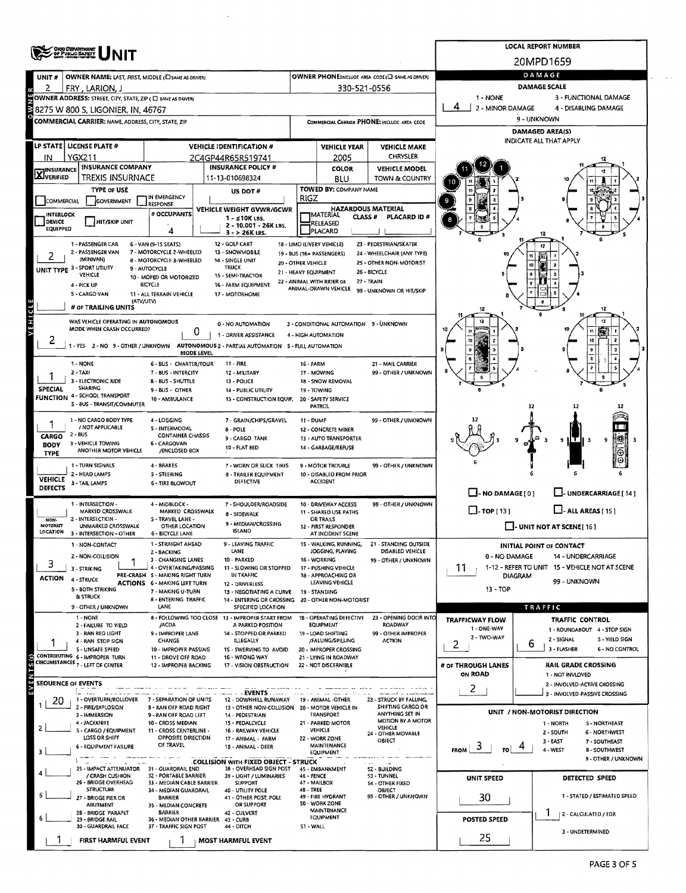|                           | <b>ORGO DEPARTMENT</b><br>OF PUBLIC BAFETT                                               |                                                           | <b>LOCAL REPORT NUMBER</b>                                                               |                                            |                                                   |                                                  |                                |                                                                  |  |  |  |  |  |
|---------------------------|------------------------------------------------------------------------------------------|-----------------------------------------------------------|------------------------------------------------------------------------------------------|--------------------------------------------|---------------------------------------------------|--------------------------------------------------|--------------------------------|------------------------------------------------------------------|--|--|--|--|--|
|                           |                                                                                          |                                                           |                                                                                          |                                            |                                                   |                                                  |                                | 20MPD1659                                                        |  |  |  |  |  |
| UNIT#                     | OWNER NAME: LAST, FIRST, MIDDLE (C) SAME AS DRIVER!                                      |                                                           |                                                                                          |                                            |                                                   | OWNER PHONE:INCLUDE AREA CODE (I SAME AS DRIVER) | DAMAGE                         |                                                                  |  |  |  |  |  |
| 2                         | FRY, LARION, J                                                                           |                                                           |                                                                                          |                                            | 330-521-0556                                      |                                                  |                                | <b>DAMAGE SCALE</b>                                              |  |  |  |  |  |
|                           | OWNER ADDRESS: STREET, CITY, STATE, ZIP ( $\square$ same as driver)                      |                                                           |                                                                                          |                                            |                                                   |                                                  | 1 - NONE<br>2 - MINOR DAMAGE   | 3 - FUNCTIONAL DAMAGE<br>4 - DISABLING DAMAGE                    |  |  |  |  |  |
|                           | 8275 W 800 S, LIGONIER, IN, 46767<br>COMMERCIAL CARRIER: NAME, ADDRESS, CITY, STATE, ZIP |                                                           |                                                                                          |                                            |                                                   | COMMERCIAL CARRIER PHONE: INCLUDE AREA CODE      | 9 - UNKNOWN                    |                                                                  |  |  |  |  |  |
|                           |                                                                                          |                                                           |                                                                                          |                                            |                                                   |                                                  | <b>DAMAGED AREA(S)</b>         |                                                                  |  |  |  |  |  |
|                           | LP STATE   LICENSE PLATE #                                                               |                                                           | <b>VEHICLE IDENTIFICATION #</b>                                                          | <b>VEHICLE YEAR</b><br><b>VEHICLE MAKE</b> |                                                   |                                                  | <b>INDICATE ALL THAT APPLY</b> |                                                                  |  |  |  |  |  |
| ΙN                        | <b>YGX211</b>                                                                            |                                                           | 2C4GP44R65R519741                                                                        |                                            | 2005                                              | CHRYSLER                                         |                                |                                                                  |  |  |  |  |  |
| <b>X</b> INSURANCE        | <b>INSURANCE COMPANY</b>                                                                 |                                                           | <b>INSURANCE POLICY #</b>                                                                |                                            | <b>COLOR</b>                                      | <b>VEHICLE MODEL</b>                             |                                |                                                                  |  |  |  |  |  |
|                           | TREXIS INSURNACE<br><b>TYPE OF USE</b>                                                   |                                                           | 11-13-010698324                                                                          |                                            | BLU<br>TOWED BY: COMPANY NAME                     | TOWN & COUNTRY                                   |                                |                                                                  |  |  |  |  |  |
| <b>COMMERCIAL</b>         | GOVERNMENT                                                                               | IN EMERGENCY<br><b>RESPONSE</b>                           | US DOT#                                                                                  | RIGZ                                       |                                                   |                                                  |                                |                                                                  |  |  |  |  |  |
| <b>INTERLOCK</b>          |                                                                                          | # OCCUPANTS                                               | VEHICLE WEIGHT GVWR/GCWR<br>$1 - 510K$ LBS.                                              |                                            | MATERIAL CLASS HATERIAL                           | PLACARD ID#                                      |                                |                                                                  |  |  |  |  |  |
| DEVICE<br>EQUIPPED        | <b>HIT/SKIP UNIT</b>                                                                     | 4                                                         | 2 - 10.001 - 26K LBS.<br>$3 - 26K$ LBS.                                                  |                                            | RELEASED<br>PLACARD                               |                                                  |                                |                                                                  |  |  |  |  |  |
|                           | 1 - PASSENGER CAR                                                                        | 6 - VAN (9-15 SEATS)                                      | 12 - GOLF CART                                                                           |                                            | 18 - LIMO (LIVERY VEHICLE)                        | 23 - PEDESTRIAN/SKATER                           |                                |                                                                  |  |  |  |  |  |
|                           | 2 - PASSENGER VAN<br>(MINIVAN)                                                           | 7 - MOTORCYCLE 2-WHEELED<br>8 - MOTORCYCLE 3-WHEELED      | 13 - SNOWMOBILE<br>14 - SINGLE UNIT                                                      |                                            | 19 - BUS (16+ PASSENGERS)                         | 24 - WHEELCHAIR (ANY TYPE)                       |                                |                                                                  |  |  |  |  |  |
|                           | UNIT TYPE 3 - SPORT UTILITY<br>VEHICLE                                                   | 9 - AUTOCYCLE                                             | <b>TRUCK</b>                                                                             | 20 - OTHER VEHICLE<br>21 - HEAVY EQUIPMENT |                                                   | 25 - OTHER NON-MOTORIST<br>26 - BICYCLE          |                                |                                                                  |  |  |  |  |  |
|                           | 4 - PICK UP                                                                              | 10 - MOPED OR MOTORIZED<br>BICYCLE                        | 15 - SEMI-TRACTOR<br>16 - FARM EQUIPMENT                                                 |                                            | 22 - ANIMAL WITH RIDER OR<br>ANIMAL-DRAWN VEHICLE | 27 - TRAIN                                       |                                |                                                                  |  |  |  |  |  |
|                           | 5 - CARGO VAN<br>(ATV/UTV)                                                               | 11 - ALL TERRAIN VEHICLE                                  | 17 - MOTORHOME                                                                           |                                            |                                                   | 99 - UNKNOWN OR HIT/SKIP                         |                                |                                                                  |  |  |  |  |  |
| VEHICLE                   | # OF TRAILING UNITS                                                                      |                                                           |                                                                                          |                                            |                                                   |                                                  |                                |                                                                  |  |  |  |  |  |
|                           | WAS VEHICLE OPERATING IN AUTONOMOUS<br>MODE WHEN CRASH OCCURRED?                         |                                                           | 0 - NO AUTOMATION                                                                        |                                            | 3 - CONDITIONAL AUTOMATION 9 - UNKNOWN            |                                                  |                                |                                                                  |  |  |  |  |  |
| ۷                         |                                                                                          | 0                                                         | 1 - DRIVER ASSISTANCE                                                                    |                                            | 4 - HIGH AUTOMATION                               |                                                  |                                | 10                                                               |  |  |  |  |  |
|                           |                                                                                          | MODE LEVEL                                                | 1 - YES 2 - NO 9 - OTHER / UNKNOWN AUTONOMOUS 2 - PARTIAL AUTOMATION 5 - FULL AUTOMATION |                                            |                                                   |                                                  |                                |                                                                  |  |  |  |  |  |
|                           | 1 - NONE                                                                                 | 6 - BUS - CHARTER/TOUR                                    | $11 - FIRE$                                                                              | <b>16 - FARM</b>                           |                                                   | 21 - MAIL CARRIER                                |                                |                                                                  |  |  |  |  |  |
|                           | $2 - TAXi$<br>3 - ELECTRONIC RIDE                                                        | 7 - BUS - INTERCITY<br><b>B - BUS - SHUTTLE</b>           | 12 - MILITARY<br>13 - POLICE                                                             |                                            | 17 - MOWING<br>18 - SNOW REMOVAL                  | 99 - OTHER / UNKNOWN                             |                                |                                                                  |  |  |  |  |  |
| <b>SPECIAL</b>            | <b>SHARING</b><br><b>FUNCTION 4 - SCHOOL TRANSPORT</b>                                   | 9 - BUS - OTHER                                           | 14 - PUBLIC UTILITY                                                                      |                                            | 19 - TOWING                                       |                                                  |                                |                                                                  |  |  |  |  |  |
|                           | S - 8US - TRANSIT/COMMUTER                                                               | 10 - AMBULANCE                                            | 15 - CONSTRUCTION EQUIP.                                                                 |                                            | 20 - SAFETY SERVICE<br><b>PATROL</b>              |                                                  |                                | 12<br>17                                                         |  |  |  |  |  |
|                           | 1 - NO CARGO BODY TYPE                                                                   | 4 - LOGGING                                               | 7 - GRAIN/CHIPS/GRAVEL                                                                   | 11 - DUMP                                  |                                                   | 99 - OTHER / UNKNOWN                             |                                |                                                                  |  |  |  |  |  |
| CARGO                     | / NOT APPLICABLE<br>2 - BUS                                                              | 5 - INTERMODAL<br><b>CONTAINER CHASSIS</b>                | $8 - POLE$ .<br>9 - CARGO TANK                                                           |                                            | 12 - CONCRETE MIXER<br>13 - AUTO TRANSPORTER      |                                                  |                                |                                                                  |  |  |  |  |  |
| <b>BODY</b>               | 3 - VEHICLE TOWING<br>ANOTHER MOTOR VEHICLE                                              | 6 - CARGOVAN<br>/ENCLOSED BOX                             | 10 - FLAT BED                                                                            |                                            | 14 - GARBAGE/REFUSE                               |                                                  |                                | 11 T<br>9<br>9<br>lз                                             |  |  |  |  |  |
| <b>TYPE</b>               | 1 - TURN SIGNALS                                                                         | 4 - BRAKES                                                | 7 - WORN OR SLICK TIRES                                                                  |                                            | 9 - MOTOR TROUBLE                                 | 99 - OTHER / UNKNOWN                             |                                |                                                                  |  |  |  |  |  |
| <b>VEHICLE</b>            | 2 - HEAD LAMPS                                                                           | <b>S - STEERING</b>                                       | 8 - TRAILER EQUIPMENT                                                                    |                                            | 10 - DISABLED FROM PRIOR                          |                                                  |                                |                                                                  |  |  |  |  |  |
| <b>DEFECTS</b>            | 3 - TAIL LAMPS                                                                           | <b>6 - TIRE BLOWOUT</b>                                   | DEFECTIVE                                                                                |                                            | <b>ACCIDENT</b>                                   |                                                  | $\Box$ - NO DAMAGE [ 0 ]       | U-UNDERCARRIAGE [14]                                             |  |  |  |  |  |
|                           | 1 - INTERSECTION -                                                                       | 4 - MIDBLOCK -                                            | 7 - SHOULDER/ROADSIDE                                                                    |                                            | 10 - DRIVEWAY ACCESS                              | 99 - OTHER / UNKNOWN                             |                                |                                                                  |  |  |  |  |  |
| NON-                      | MARKED CROSSWALK<br>2 - INTERSECTION -                                                   | MARKED CROSSWALK<br>S - TRAVEL LANE -                     | 8 - SIDEWALK                                                                             |                                            | 11 - SHARED USE PATHS<br>OR TRAILS                |                                                  | $\Box$ -TOP [13]               | $\Box$ - ALL AREAS [ 15 ]                                        |  |  |  |  |  |
| MOTORIST<br>LOCATION      | UNMARKED CROSSWALK<br>3 - INTERSECTION - OTHER                                           | OTHER LOCATION<br>6 - BICYCLE LANE                        | 9 - MEDIAN/CROSSING<br><b>ISLAND</b>                                                     |                                            | 12 - FIRST RESPONDER<br>AT INCIDENT SCENE         |                                                  |                                | $\Box$ - UNIT NOT AT SCENE[16]                                   |  |  |  |  |  |
|                           | 1 - NON-CONTACT                                                                          | 1 - STRAIGHT AHEAD                                        | 9 - LEAVING TRAFFIC                                                                      |                                            | 15 - WALKING, RUNNING,                            | 21 - STANDING OUTSIDE                            |                                | INITIAL POINT OF CONTACT                                         |  |  |  |  |  |
| 3                         | 2 - NON-COLLISION                                                                        | 2 - BACKING<br>3 - CHANGING LANES                         | LANE<br>10 - PARKED                                                                      |                                            | JOGGING, PLAYING<br>16 - WORKING                  | DISABLED VEHICLE<br>99 - OTHER / UNKNOWN         | 0 - NO DAMAGE                  | 14 - UNDERCARRIAGE                                               |  |  |  |  |  |
| ACTION                    | 3 - STRIKING                                                                             | 4 - OVERTAKING/PASSING<br>PRE-CRASH S - MAKING RIGHT TURN | 11 - SLOWING OR STOPPED<br>IN TRAFFIC                                                    |                                            | 17 - PUSHING VEHICLE<br>18 - APPROACHING OR       |                                                  | 11                             | 1-12 - REFER TO UNIT 15 - VEHICLE NOT AT SCENE<br><b>DIAGRAM</b> |  |  |  |  |  |
|                           | 4 - STRUCK<br><b>5 - BOTH STRIKING</b>                                                   | <b>ACTIONS 6 - MAKING LEFT TURN</b><br>7 - MAKING U-TURN  | 12 DRIVERLESS<br>13 - NEGOTIATING A CURVE                                                |                                            | LEAVING VEHICLE<br>19 - STANDING                  |                                                  | 13 - TOP                       | 99 - UNKNOWN                                                     |  |  |  |  |  |
|                           | <b>&amp; STRUCK</b>                                                                      | <b>8 - ENTERING TRAFFIC</b>                               | 14 - ENTERING OR CROSSING                                                                |                                            | 20 - OTHER NON-MOTORIST                           |                                                  |                                |                                                                  |  |  |  |  |  |
|                           | 9 - OTHER / UNKNOWN<br>1 - NONE                                                          | LANE                                                      | SPECIFIED LOCATION<br>8 - FOLLOWING TOO CLOSE 13 - IMPROPER START FROM                   |                                            | 18 - OPERATING DEFECTIVE                          | 23 - OPENING DOOR INTO                           | <b>TRAFFICWAY FLOW</b>         | TRAFFIC<br><b>TRAFFIC CONTROL</b>                                |  |  |  |  |  |
|                           | 2 - FAILURE TO YIELD<br>3 - RAN RED LIGHT                                                | /ACDA<br>9 - IMPROPER LANE                                | A PARKED POSITION<br>14 - STOPPED OR PARKED                                              |                                            | <b>EQUIPMENT</b><br>19 - LOAD SHIFTING            | <b>ROADWAY</b><br>99 - OTHER IMPROPER            | 1 - ONE-WAY                    | 1 - ROUNDABOUT 4 - STOP SIGN                                     |  |  |  |  |  |
|                           | 4 - RAN STOP SIGN                                                                        | CHANGE                                                    | ILLEGALLY                                                                                |                                            | /FALLING/SPILLING                                 | <b>ACTION</b>                                    | 2 - TWO-WAY<br>2               | 2 - SIGNAL<br>5 - YIELD SIGN<br>6                                |  |  |  |  |  |
|                           | <b>S - UNSAFE SPEED</b><br>CONTRIBUTING 6 - IMPROPER TURN                                | 10 - IMPROPER PASSING<br>11 - DROVE OFF ROAD              | 1S - SWERVING TO AVOID<br>16 - WRONG WAY                                                 |                                            | 20 - IMPROPER CROSSING<br>21 - LYING IN ROADWAY   |                                                  |                                | 3 - FLASHER<br>6 - NO CONTROL                                    |  |  |  |  |  |
| EVENTS(s)                 | CIRCUMSTANCES 7 - LEFT OF CENTER                                                         | 12 - IMPROPER BACKING                                     | 17 - VISION OBSTRUCTION                                                                  |                                            | 22 - NOT DISCERNIBLE                              |                                                  | # of THROUGH LANES<br>ON ROAD  | RAIL GRADE CROSSING<br>1 - NOT INVLOVED                          |  |  |  |  |  |
| <b>SEOUENCE OF EVENTS</b> |                                                                                          |                                                           |                                                                                          |                                            |                                                   |                                                  |                                | 2 - INVOLVED-ACTIVE CROSSING                                     |  |  |  |  |  |
| 20                        | 1 - OVERTURN/ROLLOVER                                                                    | 7 - SEPARATION OF UNITS                                   | - EVENTS<br>12 - DOWNHILL RUNAWAY                                                        |                                            | 19 - ANIMAL -OTHER                                | 23 - STRUCK BY FALLING,                          | 2                              | 3 - INVOLVED-PASSIVE CROSSING                                    |  |  |  |  |  |
|                           | 2 - FIRE/EXPLOSION<br>3 - IMMERSION                                                      | <b>B - RAN OFF ROAD RIGHT</b><br>9 - RAN OFF ROAD LEFT    | 13 - OTHER NON-COLLISION 20 - MOTOR VEHICLE IN<br>14 - PEDESTRIAN                        |                                            | <b>TRANSPORT</b>                                  | SHIFTING CARGO OR<br>ANYTHING SET IN             |                                | UNIT / NON-MOTORIST DIRECTION                                    |  |  |  |  |  |
| 2                         | 4 - JACKKNIFE<br>5 - CARGO / EQUIPMENT                                                   | 10 - CROSS MEDIAN<br>11 - CROSS CENTERLINE -              | 15 - PEDALCYCLE                                                                          |                                            | 21 - PARKED MOTOR<br>VEHICLE                      | <b>MOTION BY A MOTOR</b><br>VEHICLE              |                                | 1 - NORTH<br>5 - NORTHEAST                                       |  |  |  |  |  |
|                           | LOSS OR SHIFT                                                                            | OPPOSITE DIRECTION                                        | 16 - RAILWAY VEHICLE<br>17 - ANIMAL - FARM                                               |                                            | 22 - WORK ZONE                                    | 24 - OTHER MOVABLE<br>OBJECT                     |                                | 2 - SOUTH<br>6 - NORTHWEST<br>$3 - EAST$<br>7 - SOUTHEAST        |  |  |  |  |  |
|                           | 6 - EQUIPMENT FAILURE                                                                    | OF TRAVEL                                                 | 18 - ANIMAL - DEER                                                                       |                                            | MAINTENANCE<br>EQUIPMENT                          |                                                  | 3<br><b>FROM</b><br>TO.        | 4-WEST<br>8 - SOUTHWEST                                          |  |  |  |  |  |
|                           | 25 - IMPACT ATTENUATOR 31 - GUARDRAIL END                                                |                                                           | <b>COLLISION WITH FIXED OBJECT - STRUCK</b><br>3B - OVERHEAD SIGN POST                   |                                            | 45 - EMBANKMENT                                   | 52 - BUILDING                                    |                                | 9 - OTHER / UNKNOWN                                              |  |  |  |  |  |
|                           | / CRASH CUSHION<br>26 - BRIDGE OVERHEAD                                                  | 32 - PORTABLE BARRIER<br>33 - MEDIAN CABLE BARRIER        | 39 - LIGHT / LUMINARIES<br><b>SUPPORT</b>                                                | 46 - FENCE                                 | 47 - MAILBOX                                      | 53 - TUNNEL<br>54 - OTHER FIXED                  | <b>UNIT SPEED</b>              | DETECTED SPEED                                                   |  |  |  |  |  |
|                           | <b>STRUCTURE</b><br>27 - BRIDGE PIER OR                                                  | 34 - MEDIAN GUARDRAIL<br>BARRIER                          | 40 - UTILITY POLE<br>41 - OTHER POST, POLE                                               | 48 - TREE                                  | 49 - FIRE HYDRANT                                 | OBJECT<br>99 - OTHER / UNKNOWN                   | 30                             | 1 - STATED / ESTIMATED SPEED                                     |  |  |  |  |  |
|                           | ABUTMENT                                                                                 | 35 - MEDIAN CONCRETE                                      | <b>OR SUPPORT</b>                                                                        |                                            | 50 - WORK ZONE<br><b>MAINTENANCE</b>              |                                                  |                                |                                                                  |  |  |  |  |  |
|                           | 28 - BRIDGE PARAPET<br>29 - BRIDGE RAIL                                                  | <b>BARRIER</b>                                            | 42 - CULVERT<br>36 - MEDIAN OTHER BARRIER 43 - CURB                                      |                                            | <b>EQUIPMENT</b>                                  |                                                  | POSTED SPEED                   | 2 - CALCULATED / EDR                                             |  |  |  |  |  |
|                           | 30 - GUARDRAIL FACE                                                                      | 37 - TRAFFIC SIGN POST                                    | 44 - DITCH                                                                               | S1 - WALL                                  |                                                   |                                                  | 25                             | 3 - UNDETERMINED                                                 |  |  |  |  |  |
|                           | FIRST HARMFUL EVENT                                                                      |                                                           | MOST HARMFUL EVENT                                                                       |                                            |                                                   |                                                  |                                |                                                                  |  |  |  |  |  |

 $\hat{\mathcal{A}}$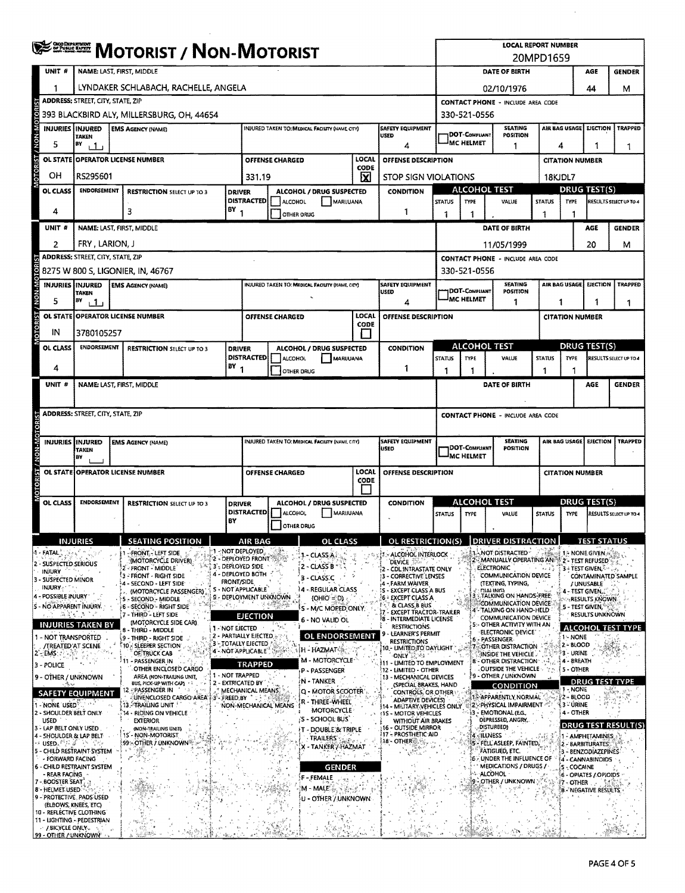|                  |                                                          | <b>SERGE MOTORIST / NON-MOTORIST</b>                                                                                                              |  |                                                          |                   |                                                                       |                        |                                                        |              | <b>LOCAL REPORT NUMBER</b><br>20MPD1659 |                                                                                                                                                      |                                               |                                          |                                                                      |                                                        |                             |                                                                                                                         |                               |
|------------------|----------------------------------------------------------|---------------------------------------------------------------------------------------------------------------------------------------------------|--|----------------------------------------------------------|-------------------|-----------------------------------------------------------------------|------------------------|--------------------------------------------------------|--------------|-----------------------------------------|------------------------------------------------------------------------------------------------------------------------------------------------------|-----------------------------------------------|------------------------------------------|----------------------------------------------------------------------|--------------------------------------------------------|-----------------------------|-------------------------------------------------------------------------------------------------------------------------|-------------------------------|
|                  | UNIT <sub>#</sub>                                        | NAME: LAST, FIRST, MIDDLE                                                                                                                         |  |                                                          |                   |                                                                       |                        |                                                        |              |                                         |                                                                                                                                                      |                                               |                                          | DATE OF BIRTH                                                        |                                                        |                             | AGE                                                                                                                     | <b>GENDER</b>                 |
|                  | 1                                                        | LYNDAKER SCHLABACH, RACHELLE, ANGELA                                                                                                              |  |                                                          |                   |                                                                       |                        |                                                        |              |                                         |                                                                                                                                                      | 44<br>02/10/1976                              |                                          |                                                                      |                                                        |                             | м                                                                                                                       |                               |
|                  |                                                          | <b>ADDRESS: STREET, CITY, STATE, ZIP</b>                                                                                                          |  |                                                          |                   |                                                                       |                        |                                                        |              |                                         |                                                                                                                                                      |                                               | <b>CONTACT PHONE - INCLUDE AREA CODE</b> |                                                                      |                                                        |                             |                                                                                                                         |                               |
|                  |                                                          | 393 BLACKBIRD ALY, MILLERSBURG, OH, 44654                                                                                                         |  |                                                          |                   |                                                                       |                        |                                                        |              |                                         |                                                                                                                                                      | 330-521-0556                                  |                                          |                                                                      |                                                        |                             |                                                                                                                         |                               |
|                  |                                                          | INJURIES INJURED<br><b>SAFETY EQUIPMENT</b><br><b>EMS AGENCY (NAME)</b><br>INJURED TAKEN TO: MEDICAL FACILITY (NAME CITY)<br>USED<br><b>TAKEN</b> |  |                                                          |                   |                                                                       |                        |                                                        |              |                                         |                                                                                                                                                      |                                               | <b>IDOT-COMPLIANT</b>                    | <b>SEATING</b><br><b>POSITION</b>                                    |                                                        | AIR BAG USAGE               | EIECTION                                                                                                                | <b>TRAPPED</b>                |
| <b>CRON-MOTO</b> | 5                                                        | BY<br>4<br>11                                                                                                                                     |  |                                                          |                   |                                                                       |                        |                                                        |              |                                         |                                                                                                                                                      |                                               | <sup>I</sup> MC HELMET                   | 1                                                                    |                                                        | 4                           | 1<br>1                                                                                                                  |                               |
|                  | OL STATE                                                 |                                                                                                                                                   |  | <b>OPERATOR LICENSE NUMBER</b>                           |                   |                                                                       | <b>OFFENSE CHARGED</b> |                                                        | LOCAL        |                                         | OFFENSE DESCRIPTION                                                                                                                                  |                                               |                                          |                                                                      |                                                        | <b>CITATION NUMBER</b>      |                                                                                                                         |                               |
| <b>OTORIST</b>   | OН                                                       | RS295601                                                                                                                                          |  |                                                          |                   | 331.19                                                                |                        |                                                        | CODE<br>X    |                                         | <b>STOP SIGN VIOLATIONS</b>                                                                                                                          |                                               |                                          |                                                                      |                                                        | 18KJDL7                     |                                                                                                                         |                               |
|                  | OL CLASS                                                 | <b>ENDORSEMENT</b>                                                                                                                                |  | <b>RESTRICTION SELECT UP TO 3</b>                        | <b>DRIVER</b>     |                                                                       |                        | <b>ALCOHOL / DRUG SUSPECTED</b>                        |              |                                         | <b>CONDITION</b>                                                                                                                                     |                                               |                                          | <b>ALCOHOL TEST</b>                                                  |                                                        |                             | <b>DRUG TEST(S)</b>                                                                                                     |                               |
|                  | 4                                                        |                                                                                                                                                   |  | 3                                                        | BY                | <b>DISTRACTED</b>                                                     | ALCOHOL                | MARIJUANA                                              |              |                                         | 1                                                                                                                                                    | <b>STATUS</b>                                 | <b>TYPE</b>                              | VALUE                                                                | <b>STATUS</b>                                          | TYPE                        |                                                                                                                         | RESULTS SELECT UP TO 4        |
|                  | UNIT #                                                   | NAME: LAST, FIRST, MIDDLE                                                                                                                         |  |                                                          |                   |                                                                       | OTHER ORUG             |                                                        |              |                                         |                                                                                                                                                      | 1<br>1<br>1<br>DATE OF BIRTH                  |                                          |                                                                      |                                                        | -1                          | AGE                                                                                                                     | <b>GENDER</b>                 |
|                  |                                                          |                                                                                                                                                   |  |                                                          |                   |                                                                       |                        |                                                        |              |                                         |                                                                                                                                                      |                                               |                                          |                                                                      |                                                        |                             |                                                                                                                         |                               |
|                  | 2                                                        | FRY, LARION, J<br><b>ADDRESS: STREET, CITY, STATE, ZIP</b>                                                                                        |  |                                                          |                   |                                                                       |                        |                                                        |              |                                         |                                                                                                                                                      |                                               |                                          | 11/05/1999                                                           |                                                        |                             | 20                                                                                                                      | м                             |
| OTOR             |                                                          |                                                                                                                                                   |  | 8275 W 800 S, LIGONIER, IN, 46767                        |                   |                                                                       |                        |                                                        |              |                                         |                                                                                                                                                      |                                               | 330-521-0556                             | <b>CONTACT PHONE - INCLUDE AREA CODE</b>                             |                                                        |                             |                                                                                                                         |                               |
|                  | <b>INJURIES IINJURED</b>                                 |                                                                                                                                                   |  | <b>EMS AGENCY (NAME)</b>                                 |                   |                                                                       |                        | <b>INJURED TAKEN TO: MEDICAL FACILITY (NAME, CITY)</b> |              |                                         | <b>SAFETY EQUIPMENT</b>                                                                                                                              |                                               |                                          | <b>SEATING</b>                                                       |                                                        | AIR BAG USAGE               | <b>EJECTION</b>                                                                                                         | TRAPPED                       |
| <b>M-NOM</b>     | 5                                                        | TAKEN<br>B٧<br>1.1.1                                                                                                                              |  |                                                          |                   |                                                                       |                        |                                                        |              |                                         | <b>USED</b><br>4                                                                                                                                     |                                               | DOT-COMPLIANT<br><b>JMC HELMET</b>       | <b>POSITION</b><br>1                                                 |                                                        | 1<br>1                      |                                                                                                                         |                               |
|                  |                                                          |                                                                                                                                                   |  | OL STATE OPERATOR LICENSE NUMBER                         |                   |                                                                       | <b>OFFENSE CHARGED</b> |                                                        | <b>LOCAL</b> |                                         | OFFENSE DESCRIPTION                                                                                                                                  |                                               |                                          |                                                                      |                                                        | 1<br><b>CITATION NUMBER</b> |                                                                                                                         |                               |
| <b>OTORIST</b>   | IN                                                       | 3780105257                                                                                                                                        |  |                                                          |                   |                                                                       |                        |                                                        | CODE         |                                         |                                                                                                                                                      |                                               |                                          |                                                                      |                                                        |                             |                                                                                                                         |                               |
|                  | OL CLASS                                                 | <b>ENDORSEMENT</b>                                                                                                                                |  | <b>RESTRICTION SELECT UP TO 3</b>                        | <b>DRIVER</b>     |                                                                       |                        | ALCOHOL / DRUG SUSPECTED                               |              |                                         | <b>CONDITION</b>                                                                                                                                     |                                               |                                          | <b>ALCOHOL TEST</b>                                                  |                                                        |                             | DRUG TEST(S)                                                                                                            |                               |
|                  |                                                          |                                                                                                                                                   |  |                                                          |                   |                                                                       | DISTRACTED   ALCOHOL   | MARUUANA                                               |              |                                         |                                                                                                                                                      | <b>STATUS</b>                                 | <b>TYPE</b>                              | VALUE                                                                | <b>STATUS</b>                                          | <b>TYPE</b>                 |                                                                                                                         | <b>RESULTS SELECT UP TO 4</b> |
|                  | 4                                                        |                                                                                                                                                   |  |                                                          | $18Y_1$           |                                                                       | OTHER DRUG             |                                                        |              |                                         | 1                                                                                                                                                    | 1                                             |                                          |                                                                      | 1                                                      |                             |                                                                                                                         |                               |
|                  | UNIT #                                                   | NAME: LAST, FIRST, MIDDLE                                                                                                                         |  |                                                          |                   |                                                                       |                        |                                                        |              |                                         |                                                                                                                                                      |                                               |                                          | DATE OF BIRTH                                                        |                                                        |                             | AGE                                                                                                                     | <b>GENDER</b>                 |
|                  |                                                          |                                                                                                                                                   |  |                                                          |                   |                                                                       |                        |                                                        |              |                                         |                                                                                                                                                      |                                               |                                          |                                                                      |                                                        |                             |                                                                                                                         |                               |
|                  |                                                          | <b>ADDRESS: STREET, CITY, STATE, ZIP</b>                                                                                                          |  |                                                          |                   |                                                                       |                        |                                                        |              |                                         |                                                                                                                                                      |                                               |                                          | <b>CONTACT PHONE - INCLUDE AREA CODE</b>                             |                                                        |                             |                                                                                                                         |                               |
|                  |                                                          | IINJURED                                                                                                                                          |  |                                                          |                   |                                                                       |                        | INJURED TAKEN TO: MEDICAL FACILITY (NAME, CITY)        |              |                                         | <b>SAFETY EQUIPMENT</b>                                                                                                                              |                                               |                                          | <b>SEATING</b>                                                       |                                                        | AIR BAG USAGE               | <b>EJECTION</b>                                                                                                         | <b>TRAPPED</b>                |
| N-N-M            | <b>INJURIES</b>                                          | TAKEN<br>lΒ۷                                                                                                                                      |  | <b>EMS AGENCY (NAME)</b>                                 |                   |                                                                       |                        |                                                        |              |                                         | USED                                                                                                                                                 | DOT-COMPLIANT<br>POSITION<br><b>MC HELMET</b> |                                          |                                                                      |                                                        |                             |                                                                                                                         |                               |
|                  |                                                          |                                                                                                                                                   |  | OL STATE OPERATOR LICENSE NUMBER                         |                   | LOCAL<br>OFFENSE DESCRIPTION<br>OFFENSE CHARGED                       |                        |                                                        |              |                                         |                                                                                                                                                      |                                               |                                          |                                                                      |                                                        |                             |                                                                                                                         |                               |
|                  |                                                          |                                                                                                                                                   |  |                                                          |                   | CODE                                                                  |                        |                                                        |              |                                         | <b>CITATION NUMBER</b>                                                                                                                               |                                               |                                          |                                                                      |                                                        |                             |                                                                                                                         |                               |
|                  | OL CLASS                                                 | <b>ENDORSEMENT</b>                                                                                                                                |  | <b>RESTRICTION SELECT UP TO 3</b>                        | <b>DRIVER</b>     |                                                                       |                        | ALCOHOL / DRUG SUSPECTED                               |              |                                         | <b>ALCOHOL TEST</b><br><b>CONDITION</b>                                                                                                              |                                               |                                          |                                                                      | <u>DRUG TEST(S)</u>                                    |                             |                                                                                                                         |                               |
|                  |                                                          |                                                                                                                                                   |  |                                                          |                   | <b>DISTRACTED</b><br>ALCOHOL<br>MARUUANA                              |                        |                                                        |              |                                         | <b>STATUS</b><br>TYPE                                                                                                                                |                                               | VALUE                                    | <b>STATUS</b>                                                        | TYPE                                                   |                             | RESULTS SELECT UP TO 4                                                                                                  |                               |
|                  |                                                          |                                                                                                                                                   |  |                                                          | BY                |                                                                       | <b>OTHER DRUG</b>      |                                                        |              |                                         |                                                                                                                                                      |                                               |                                          |                                                                      |                                                        |                             |                                                                                                                         |                               |
|                  |                                                          | <b>NJURIES</b>                                                                                                                                    |  | <b>SEATING POSITION</b>                                  |                   | AIR BAG                                                               |                        |                                                        |              |                                         | OL RESTRICTION(S)                                                                                                                                    |                                               |                                          | JRIVER DISTRA                                                        |                                                        |                             |                                                                                                                         |                               |
|                  | FATAL.,<br>- SUSPECTED SERIOUS                           |                                                                                                                                                   |  | <b>FRONT - LEFT SIDE</b><br>(MOTORCYCLE DRIVER)          |                   | <b>1 NOT DEPLOYED</b><br>2 - DEPLOYED FRONT                           |                        | 1 - CLASS A                                            |              |                                         | 1 - ALCOHOL INTERLOCK<br><b>DEVICE 128-</b>                                                                                                          |                                               |                                          | - NOT DISTRACTED *<br>2- MANUALLY OPERATING AN \$2 - TEST REFUSED    |                                                        |                             | $1$ - NONE GIVEN $\mathbb{E}_{\mathbb{E}_{\mathbb{E}_{\mathbb{E}}^{(n)}}^{\mathbb{E}_{\mathbb{E}_{\mathbb{E}}^{(n)}}}}$ |                               |
|                  | INJURY<br>3 - SUSPECTED MINOR                            |                                                                                                                                                   |  | - FRONT - MIDDLE<br><b>3 - FRONT - RIGHT SIDE</b>        |                   | 3'- DEPLOYED SIDE<br>4 - DEPLOYED BOTH                                |                        | 2 - CLASS B<br>3 - CLASSIC                             |              |                                         | CDL INTRASTATE ONLY<br>3 - CORRECTIVE LENSES                                                                                                         |                                               |                                          | <b>ELECTRONIC</b><br>COMMUNICATION DEVICE                            |                                                        |                             | <b>3 - TEST GIVEN, See Jose</b>                                                                                         | CONTAMINATED SAMPLE           |
|                  | INJURY.                                                  |                                                                                                                                                   |  | - SECOND - LEFT SIDE:<br>(MOTORCYCLE PASSENGER)          | <b>FRONT/SIDE</b> | S - NOT APPLICABLE                                                    |                        | 4 - REGULAR CLASS                                      |              |                                         | 4 - FARM WAIVER<br>S - EXCEPT CLASS A BUS                                                                                                            |                                               |                                          | (TEXTING, TYPING,<br><b>DIALING</b><br><b>UTALKING ON HANDS-FREE</b> |                                                        |                             | / UNUSABLE<br>4 - TEST GIVEN, .                                                                                         |                               |
|                  | 4 - POSSIBLE INJURY<br>5 - NO APPARENT INJURY.           |                                                                                                                                                   |  | 5 - SECOND - MIDDLE<br><b>6 - SECOND - RIGHT SIDE</b>    | At n              | 9 - DEPLOYMENT UNKNOWN<br>(OHIO = D)<br>人名霍克库森<br>5 - M/C MOPED, ONLY |                        |                                                        |              |                                         | 6 - EXCEPT CLASS A<br>COMMUNICATION DEVICE<br>& CLASS B BUS<br>$\mathsf S$ - Test given,"<br>4-TALKING ON HAND-HELD<br><b>EXCEPT TRACTOR-TRAILER</b> |                                               |                                          |                                                                      |                                                        | <b>RESULTS KNOWN</b>        |                                                                                                                         |                               |
|                  |                                                          | ふふく きっと<br><b>INJURIES TAKEN BY</b>                                                                                                               |  | 7 - THIRD - LEFT SIDE<br>(MOTORCYCLE SIDE CAR)           |                   | <b>EJECTION</b><br>- NO VALID OL                                      |                        |                                                        |              |                                         | <b>8 - INTERMEDIATE LICENSE</b><br><b>RESTRICTIONS</b>                                                                                               |                                               |                                          | <b>COMMUNICATION DEVICE</b><br>- OTHER ACTIVITY WITH AN              |                                                        |                             | <b>RESULTS UNKNOWN</b>                                                                                                  |                               |
|                  | NOT TRANSPORTED                                          |                                                                                                                                                   |  | 8 - THIRD - MIDDLE<br>9 - THIRD - RIGHT SIDE             | 1 - NOT EJECTED   | 2 - PARTIALLY EJECTED                                                 |                        | <b>OL ENDORSEMENT</b>                                  |              |                                         | LEARNER'S PERMIT<br><b>RESTRICTIONS</b>                                                                                                              |                                               |                                          | <b>ELECTRONIC DEVICE</b><br>6 - PASSENGER                            |                                                        | 1 - NONE                    |                                                                                                                         | <b>ALCOHOL TEST TYPE</b>      |
|                  | /TREATED AT SCENE<br>$2 - EMS$                           |                                                                                                                                                   |  | 10 - SLEEPER SECTION<br>OF TRUCK CAB                     |                   | <b>3 - TOTALLY EJECTED</b><br>4 - NOT APPLICABLE                      |                        | H - HAZMAT R                                           |              |                                         | 10 - UMITED TO DAYUGHT<br>ONLY 22 25                                                                                                                 |                                               |                                          | 7 - OTHER DISTRACTION<br>INSIDE THE VEHICLE                          |                                                        | 2 - BLOOD<br>3 - URINE      |                                                                                                                         |                               |
|                  | 3 - POLICE                                               |                                                                                                                                                   |  | 11 - PASSENGER IN<br>OTHER ENCLOSED CARGO                |                   | TRAPPED                                                               |                        | M - MOTORCYCLE<br>P - PASSENGER                        |              |                                         | 11 - LIMITED TO EMPLOYMENT<br>12 - LIMITED - OTHER                                                                                                   |                                               |                                          | 8 - OTHER DISTRACTION<br>OUTSIDE THE VEHICLE                         |                                                        | 4 - BREATH<br>5 - OTHER     |                                                                                                                         |                               |
|                  | 9 - OTHER / UNKNOWN                                      |                                                                                                                                                   |  | AREA (NON-TRAIUNG UNIT,<br>BUS, PICK-UP WITH CAP)        |                   | 1 - NOT TRAPPED<br>2 - EXTRICATED BY                                  |                        | N - TANKER                                             |              |                                         | 13 - MECHANICAL DEVICES<br>(SPECIAL BRAKES, HAND                                                                                                     |                                               |                                          | (9 - OTHER / UNKNOWN<br><b>CONDITION</b>                             |                                                        |                             | <b>DRUG TEST TYPE</b>                                                                                                   |                               |
|                  |                                                          | <b>SAFETY EQUIPMENT</b>                                                                                                                           |  | L2 - PASSENGER IN<br>UNENCLOSED CARGO AREA 43 - FREED BY |                   | MECHANICAL MEANS                                                      |                        | Q - MOTOR SCOOTER                                      |              |                                         | <b>CONTROLS, OR OTHER:</b><br><b>ADAPTIVE DEVICES)</b>                                                                                               |                                               |                                          | 13 APPARENTLY NORMAL                                                 |                                                        | 1-NONE<br>2 - BLOOD         |                                                                                                                         |                               |
|                  | 1 None Used<br>2 - SHOULDER BELT ONLY                    |                                                                                                                                                   |  | <b>13. TRAILING UNIT!</b><br>14 - RIDING ON VEHICLE      |                   |                                                                       | NON-MECHANICAL MEANS   | R - THREE-WHEEL<br>MOTORCYCLE                          |              |                                         | 14 - MILITARY, VEHICLES ONLY 18 Z. PHYSICAL IMPAIRMENT<br><b>S - MOTOR VEHICLES</b>                                                                  |                                               |                                          | <b>3 - EMOTIONAL (EG.</b>                                            |                                                        | {3∵ÚRINE<br>4 - OTHER       |                                                                                                                         |                               |
|                  | USED<br>- LAP BELT ONLY USED                             |                                                                                                                                                   |  | <b>EXTERIOR</b><br>(NON-TRAILING UNIT)                   |                   |                                                                       |                        | 'S - SCHOOL BUS<br>T - DOUBLE & TRIPLE                 |              |                                         | WITHOUT AIR BRAKES<br>16 - OUTSIDE MIRROR                                                                                                            |                                               |                                          | DEPRESSED, ANGRY,<br>DISTURBED)                                      |                                                        |                             |                                                                                                                         | <b>DRUG TEST RESULT(S)</b>    |
|                  | 4 - SHOULDER & LAP BELT<br>そ USED やおぼ うとう                |                                                                                                                                                   |  | 15 - NON-MOTORIST<br>99 OTHER / UNKNOWN                  |                   |                                                                       |                        | <b>TRAILERS</b>                                        |              |                                         | 17 - PROSTHETIC AID<br>$18 - \text{OTHER}$                                                                                                           |                                               |                                          | 4 - ILLNESS<br>5 - FELL ASLEEP, FAINTED,                             |                                                        |                             | - AMPHETAMINES<br>2 - BARBITURATES;                                                                                     |                               |
|                  | - FORWARD FACING                                         | 5 - CHILD RESTRAINT SYSTEM                                                                                                                        |  |                                                          |                   |                                                                       |                        | K - TANKER / HAZMAT                                    |              |                                         |                                                                                                                                                      |                                               |                                          | <b>FATIGUED, ETC.</b><br>UNDER THE INFLUENCE OF                      |                                                        |                             | 3 - BENZODIAZEPINES                                                                                                     |                               |
|                  | - REAR FACING                                            | 6 - CHILD RESTRAINT SYSTEM                                                                                                                        |  |                                                          |                   | GENDER<br>۰,                                                          |                        |                                                        |              |                                         | MEDICATIONS / DRUGS /<br><b>ALCOHOL</b>                                                                                                              |                                               |                                          |                                                                      | 4 - CANNABINOIDS<br>S-COCAINE<br>6 - OPIATES / OPIOIDS |                             |                                                                                                                         |                               |
|                  | 7 - BOOSTER SEAT, 3<br>8 - HELMET USED                   |                                                                                                                                                   |  |                                                          |                   |                                                                       |                        | F - FEMALE<br>$M - MALE$                               |              |                                         |                                                                                                                                                      |                                               |                                          | <b>9 - OTHER / UNKNOWN</b>                                           |                                                        | 7 - OTHER                   | 8 - NEGATIVE RESULTS                                                                                                    |                               |
|                  | (ELBOWS, KNEES, ETC)                                     | 9 - PROTECTIVE , PADS USED                                                                                                                        |  |                                                          |                   |                                                                       |                        | U - OTHER / UNKNOWN                                    |              |                                         |                                                                                                                                                      |                                               |                                          |                                                                      |                                                        |                             |                                                                                                                         |                               |
|                  |                                                          | 10 - REFLECTIVE CLOTHING<br>11 - LIGHTING - PEDESTRIAN                                                                                            |  |                                                          |                   |                                                                       |                        |                                                        |              |                                         |                                                                                                                                                      |                                               |                                          |                                                                      |                                                        |                             |                                                                                                                         |                               |
|                  | $\sim$ / BICYCLE ONLY $_{\rm w}$<br>99 - OTHER / UNKNOWN |                                                                                                                                                   |  |                                                          |                   |                                                                       |                        |                                                        |              |                                         |                                                                                                                                                      |                                               |                                          |                                                                      |                                                        |                             |                                                                                                                         |                               |

 $\hat{\epsilon}$